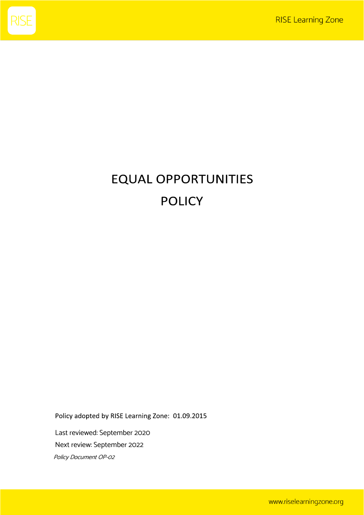

# **EQUAL OPPORTUNITIES POLICY**

Policy adopted by RISE Learning Zone: 01.09.2015

Last reviewed: September 2020 Next review: September 2022 Policy Document OP-<sup>02</sup>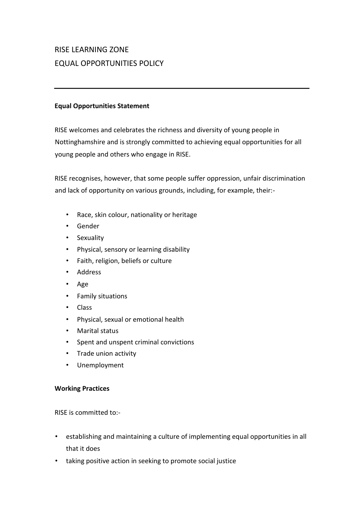# RISE LEARNING ZONE EQUAL OPPORTUNITIES POLICY

#### **Equal Opportunities Statement**

RISE welcomes and celebrates the richness and diversity of young people in Nottinghamshire and is strongly committed to achieving equal opportunities for all young people and others who engage in RISE.

RISE recognises, however, that some people suffer oppression, unfair discrimination and lack of opportunity on various grounds, including, for example, their:-

- Race, skin colour, nationality or heritage
- Gender
- Sexuality
- Physical, sensory or learning disability
- Faith, religion, beliefs or culture
- Address
- Age
- Family situations
- Class
- Physical, sexual or emotional health
- Marital status
- Spent and unspent criminal convictions
- Trade union activity
- Unemployment

# **Working Practices**

RISE is committed to:-

- establishing and maintaining a culture of implementing equal opportunities in all that it does
- taking positive action in seeking to promote social justice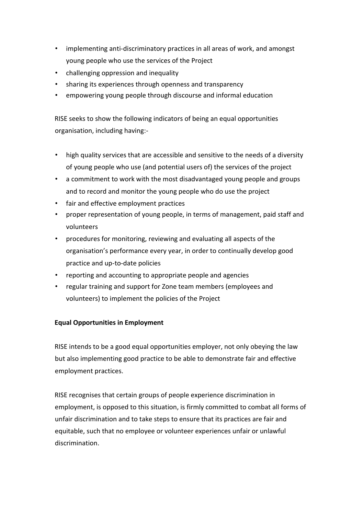- implementing anti-discriminatory practices in all areas of work, and amongst young people who use the services of the Project
- challenging oppression and inequality
- sharing its experiences through openness and transparency
- empowering young people through discourse and informal education

RISE seeks to show the following indicators of being an equal opportunities organisation, including having:-

- high quality services that are accessible and sensitive to the needs of a diversity of young people who use (and potential users of) the services of the project
- a commitment to work with the most disadvantaged young people and groups and to record and monitor the young people who do use the project
- fair and effective employment practices
- proper representation of young people, in terms of management, paid staff and volunteers
- procedures for monitoring, reviewing and evaluating all aspects of the organisation's performance every year, in order to continually develop good practice and up-to-date policies
- reporting and accounting to appropriate people and agencies
- regular training and support for Zone team members (employees and volunteers) to implement the policies of the Project

# **Equal Opportunities in Employment**

RISE intends to be a good equal opportunities employer, not only obeying the law but also implementing good practice to be able to demonstrate fair and effective employment practices.

RISE recognises that certain groups of people experience discrimination in employment, is opposed to this situation, is firmly committed to combat all forms of unfair discrimination and to take steps to ensure that its practices are fair and equitable, such that no employee or volunteer experiences unfair or unlawful discrimination.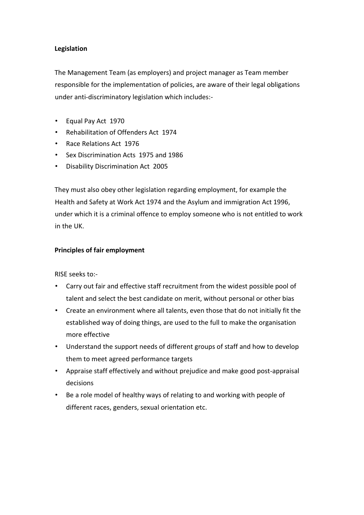# **Legislation**

The Management Team (as employers) and project manager as Team member responsible for the implementation of policies, are aware of their legal obligations under anti-discriminatory legislation which includes:-

- Equal Pay Act 1970
- Rehabilitation of Offenders Act 1974
- Race Relations Act 1976
- Sex Discrimination Acts 1975 and 1986
- Disability Discrimination Act 2005

They must also obey other legislation regarding employment, for example the Health and Safety at Work Act 1974 and the Asylum and immigration Act 1996, under which it is a criminal offence to employ someone who is not entitled to work in the UK.

#### **Principles of fair employment**

RISE seeks to:-

- Carry out fair and effective staff recruitment from the widest possible pool of talent and select the best candidate on merit, without personal or other bias
- Create an environment where all talents, even those that do not initially fit the established way of doing things, are used to the full to make the organisation more effective
- Understand the support needs of different groups of staff and how to develop them to meet agreed performance targets
- Appraise staff effectively and without prejudice and make good post-appraisal decisions
- Be a role model of healthy ways of relating to and working with people of different races, genders, sexual orientation etc.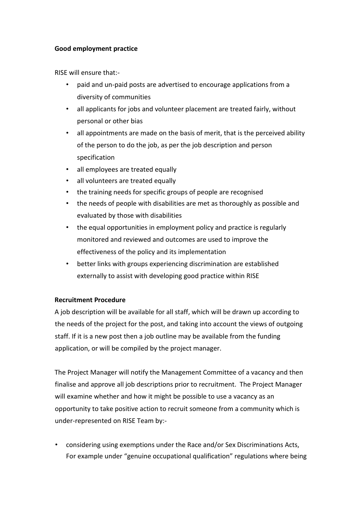#### **Good employment practice**

RISE will ensure that:-

- paid and un-paid posts are advertised to encourage applications from a diversity of communities
- all applicants for jobs and volunteer placement are treated fairly, without personal or other bias
- all appointments are made on the basis of merit, that is the perceived ability of the person to do the job, as per the job description and person specification
- all employees are treated equally
- all volunteers are treated equally
- the training needs for specific groups of people are recognised
- the needs of people with disabilities are met as thoroughly as possible and evaluated by those with disabilities
- the equal opportunities in employment policy and practice is regularly monitored and reviewed and outcomes are used to improve the effectiveness of the policy and its implementation
- better links with groups experiencing discrimination are established externally to assist with developing good practice within RISE

# **Recruitment Procedure**

A job description will be available for all staff, which will be drawn up according to the needs of the project for the post, and taking into account the views of outgoing staff. If it is a new post then a job outline may be available from the funding application, or will be compiled by the project manager.

The Project Manager will notify the Management Committee of a vacancy and then finalise and approve all job descriptions prior to recruitment. The Project Manager will examine whether and how it might be possible to use a vacancy as an opportunity to take positive action to recruit someone from a community which is under-represented on RISE Team by:-

• considering using exemptions under the Race and/or Sex Discriminations Acts, For example under "genuine occupational qualification" regulations where being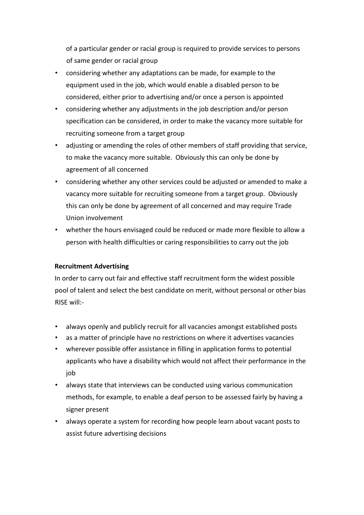of a particular gender or racial group is required to provide services to persons of same gender or racial group

- considering whether any adaptations can be made, for example to the equipment used in the job, which would enable a disabled person to be considered, either prior to advertising and/or once a person is appointed
- considering whether any adjustments in the job description and/or person specification can be considered, in order to make the vacancy more suitable for recruiting someone from a target group
- adjusting or amending the roles of other members of staff providing that service, to make the vacancy more suitable. Obviously this can only be done by agreement of all concerned
- considering whether any other services could be adjusted or amended to make a vacancy more suitable for recruiting someone from a target group. Obviously this can only be done by agreement of all concerned and may require Trade Union involvement
- whether the hours envisaged could be reduced or made more flexible to allow a person with health difficulties or caring responsibilities to carry out the job

# **Recruitment Advertising**

In order to carry out fair and effective staff recruitment form the widest possible pool of talent and select the best candidate on merit, without personal or other bias RISE will:-

- always openly and publicly recruit for all vacancies amongst established posts
- as a matter of principle have no restrictions on where it advertises vacancies
- wherever possible offer assistance in filling in application forms to potential applicants who have a disability which would not affect their performance in the job
- always state that interviews can be conducted using various communication methods, for example, to enable a deaf person to be assessed fairly by having a signer present
- always operate a system for recording how people learn about vacant posts to assist future advertising decisions